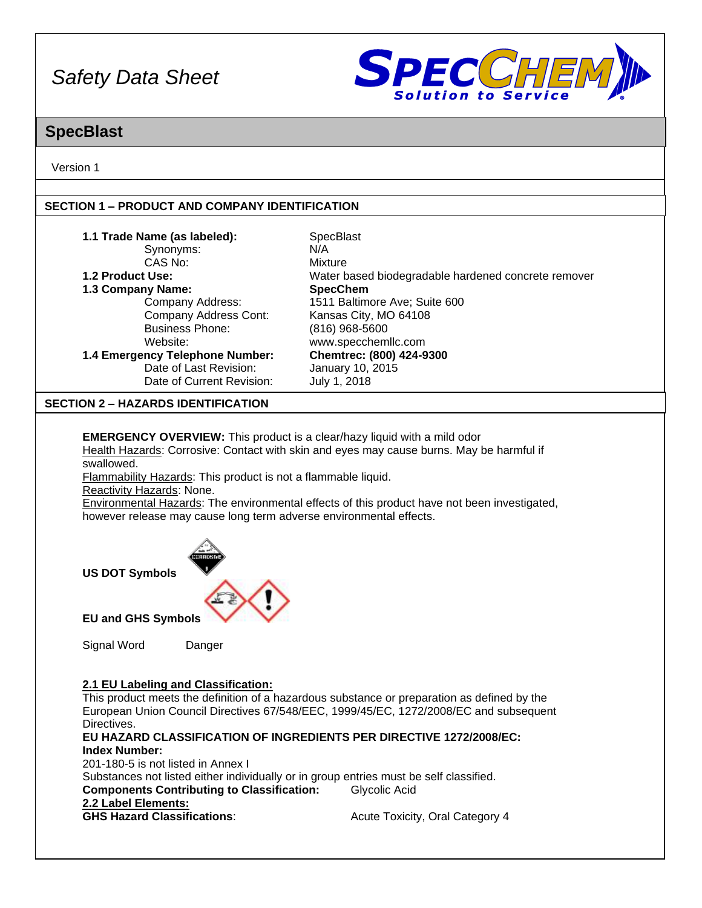

### **SpecBlast**

Version 1

#### **SECTION 1 – PRODUCT AND COMPANY IDENTIFICATION**

| 1.1 Trade Name (as labeled):    | <b>SpecBlast</b>                                    |
|---------------------------------|-----------------------------------------------------|
| Synonyms:                       | N/A                                                 |
| CAS No:                         | Mixture                                             |
| 1.2 Product Use:                | Water based biodegradable hardened concrete remover |
| 1.3 Company Name:               | <b>SpecChem</b>                                     |
| Company Address:                | 1511 Baltimore Ave; Suite 600                       |
| Company Address Cont:           | Kansas City, MO 64108                               |
| <b>Business Phone:</b>          | $(816)$ 968-5600                                    |
| Website:                        | www.specchemllc.com                                 |
| 1.4 Emergency Telephone Number: | Chemtrec: (800) 424-9300                            |
| Date of Last Revision:          | January 10, 2015                                    |
| Date of Current Revision:       | July 1, 2018                                        |

#### **SECTION 2 – HAZARDS IDENTIFICATION**

**EMERGENCY OVERVIEW:** This product is a clear/hazy liquid with a mild odor Health Hazards: Corrosive: Contact with skin and eyes may cause burns. May be harmful if swallowed.

Flammability Hazards: This product is not a flammable liquid.

Reactivity Hazards: None.

Environmental Hazards: The environmental effects of this product have not been investigated, however release may cause long term adverse environmental effects.



**EU and GHS Symbols**

Signal Word Danger

#### **2.1 EU Labeling and Classification:**

This product meets the definition of a hazardous substance or preparation as defined by the European Union Council Directives 67/548/EEC, 1999/45/EC, 1272/2008/EC and subsequent Directives.

**EU HAZARD CLASSIFICATION OF INGREDIENTS PER DIRECTIVE 1272/2008/EC: Index Number:** 201-180-5 is not listed in Annex I Substances not listed either individually or in group entries must be self classified. **Components Contributing to Classification:** Glycolic Acid **2.2 Label Elements:**

Acute Toxicity, Oral Category 4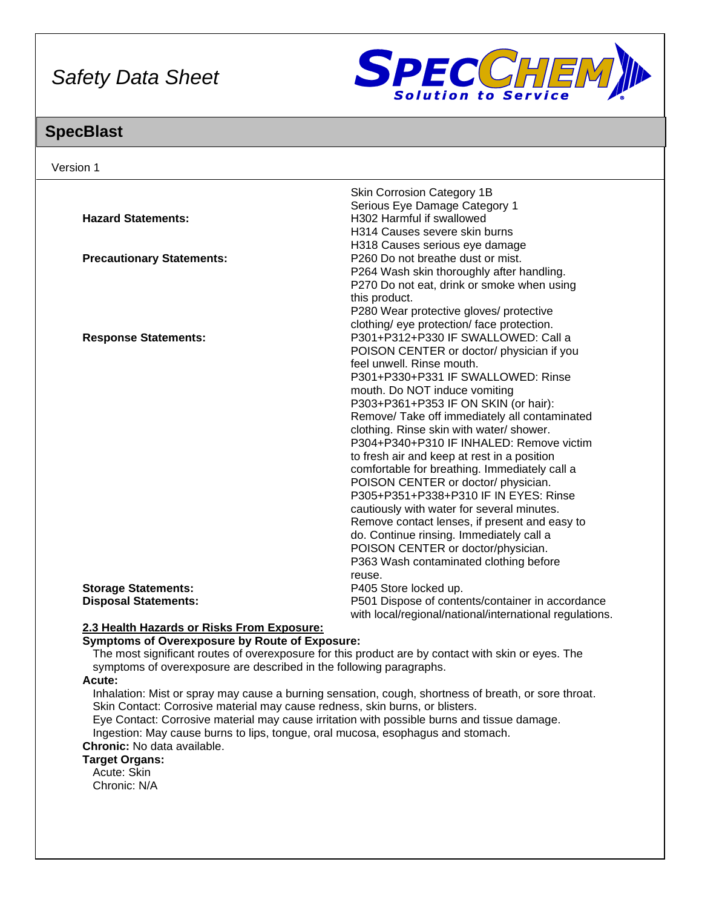

## **SpecBlast**

| Version 1                        |                                                         |
|----------------------------------|---------------------------------------------------------|
|                                  | Skin Corrosion Category 1B                              |
|                                  | Serious Eye Damage Category 1                           |
| <b>Hazard Statements:</b>        | H302 Harmful if swallowed                               |
|                                  | H314 Causes severe skin burns                           |
|                                  | H318 Causes serious eye damage                          |
| <b>Precautionary Statements:</b> | P260 Do not breathe dust or mist.                       |
|                                  | P264 Wash skin thoroughly after handling.               |
|                                  | P270 Do not eat, drink or smoke when using              |
|                                  | this product.                                           |
|                                  | P280 Wear protective gloves/ protective                 |
|                                  | clothing/ eye protection/ face protection.              |
| <b>Response Statements:</b>      | P301+P312+P330 IF SWALLOWED: Call a                     |
|                                  | POISON CENTER or doctor/ physician if you               |
|                                  | feel unwell. Rinse mouth.                               |
|                                  | P301+P330+P331 IF SWALLOWED: Rinse                      |
|                                  | mouth. Do NOT induce vomiting                           |
|                                  | P303+P361+P353 IF ON SKIN (or hair):                    |
|                                  | Remove/ Take off immediately all contaminated           |
|                                  | clothing. Rinse skin with water/ shower.                |
|                                  | P304+P340+P310 IF INHALED: Remove victim                |
|                                  | to fresh air and keep at rest in a position             |
|                                  | comfortable for breathing. Immediately call a           |
|                                  | POISON CENTER or doctor/physician.                      |
|                                  | P305+P351+P338+P310 IF IN EYES: Rinse                   |
|                                  | cautiously with water for several minutes.              |
|                                  | Remove contact lenses, if present and easy to           |
|                                  | do. Continue rinsing. Immediately call a                |
|                                  | POISON CENTER or doctor/physician.                      |
|                                  | P363 Wash contaminated clothing before                  |
| <b>Storage Statements:</b>       | reuse.<br>P405 Store locked up.                         |
| <b>Disposal Statements:</b>      | P501 Dispose of contents/container in accordance        |
|                                  | with local/regional/national/international regulations. |

#### **2.3 Health Hazards or Risks From Exposure:**

#### **Symptoms of Overexposure by Route of Exposure:**

The most significant routes of overexposure for this product are by contact with skin or eyes. The symptoms of overexposure are described in the following paragraphs.

#### **Acute:**

Inhalation: Mist or spray may cause a burning sensation, cough, shortness of breath, or sore throat. Skin Contact: Corrosive material may cause redness, skin burns, or blisters.

Eye Contact: Corrosive material may cause irritation with possible burns and tissue damage. Ingestion: May cause burns to lips, tongue, oral mucosa, esophagus and stomach. **Chronic:** No data available.

### **Target Organs:**

Acute: Skin Chronic: N/A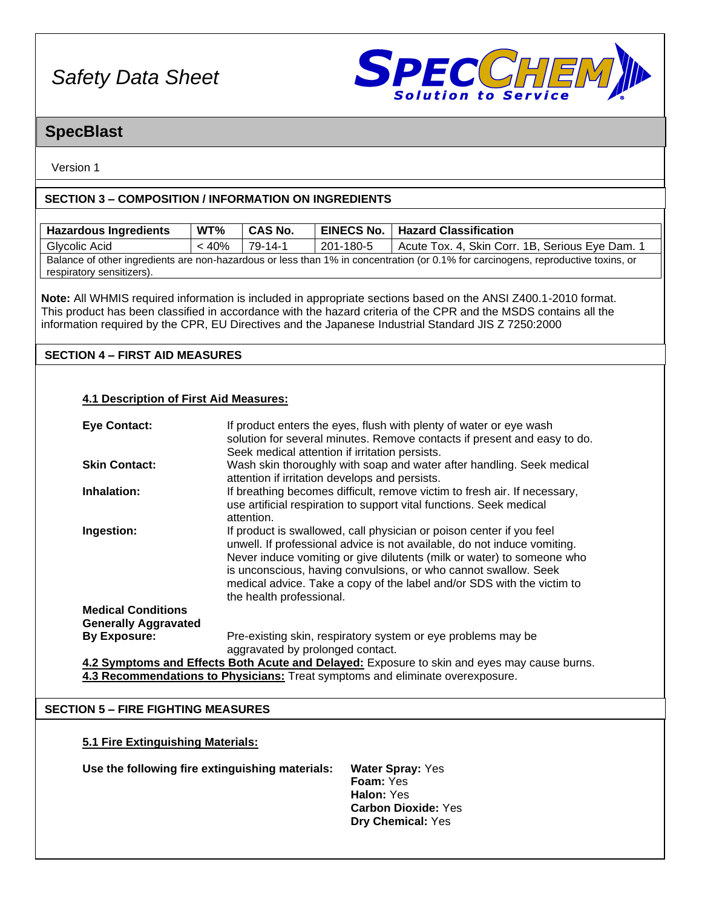

## **SpecBlast**

Version 1

#### **SECTION 3 – COMPOSITION / INFORMATION ON INGREDIENTS**

| <b>Hazardous Ingredients</b>                                                  | WT%                                                                                                                     | <b>CAS No.</b>           | <b>EINECS No.</b>                              | <b>Hazard Classification</b>                                                                                                      |
|-------------------------------------------------------------------------------|-------------------------------------------------------------------------------------------------------------------------|--------------------------|------------------------------------------------|-----------------------------------------------------------------------------------------------------------------------------------|
| <b>Glycolic Acid</b>                                                          | < 40%                                                                                                                   | $79-14-1$                | 201-180-5                                      | Acute Tox. 4, Skin Corr. 1B, Serious Eye Dam. 1                                                                                   |
|                                                                               |                                                                                                                         |                          |                                                | Balance of other ingredients are non-hazardous or less than 1% in concentration (or 0.1% for carcinogens, reproductive toxins, or |
| respiratory sensitizers).                                                     |                                                                                                                         |                          |                                                |                                                                                                                                   |
|                                                                               |                                                                                                                         |                          |                                                |                                                                                                                                   |
|                                                                               |                                                                                                                         |                          |                                                | Note: All WHMIS required information is included in appropriate sections based on the ANSI Z400.1-2010 format.                    |
|                                                                               |                                                                                                                         |                          |                                                | This product has been classified in accordance with the hazard criteria of the CPR and the MSDS contains all the                  |
|                                                                               |                                                                                                                         |                          |                                                | information required by the CPR, EU Directives and the Japanese Industrial Standard JIS Z 7250:2000                               |
| <b>SECTION 4 - FIRST AID MEASURES</b>                                         |                                                                                                                         |                          |                                                |                                                                                                                                   |
|                                                                               |                                                                                                                         |                          |                                                |                                                                                                                                   |
|                                                                               |                                                                                                                         |                          |                                                |                                                                                                                                   |
| <b>4.1 Description of First Aid Measures:</b>                                 |                                                                                                                         |                          |                                                |                                                                                                                                   |
|                                                                               |                                                                                                                         |                          |                                                |                                                                                                                                   |
| <b>Eye Contact:</b>                                                           |                                                                                                                         |                          |                                                | If product enters the eyes, flush with plenty of water or eye wash                                                                |
|                                                                               |                                                                                                                         |                          |                                                | solution for several minutes. Remove contacts if present and easy to do.                                                          |
|                                                                               |                                                                                                                         |                          | Seek medical attention if irritation persists. |                                                                                                                                   |
| <b>Skin Contact:</b>                                                          |                                                                                                                         |                          |                                                | Wash skin thoroughly with soap and water after handling. Seek medical                                                             |
|                                                                               |                                                                                                                         |                          | attention if irritation develops and persists. |                                                                                                                                   |
| Inhalation:                                                                   |                                                                                                                         |                          |                                                | If breathing becomes difficult, remove victim to fresh air. If necessary,                                                         |
|                                                                               |                                                                                                                         |                          |                                                | use artificial respiration to support vital functions. Seek medical                                                               |
|                                                                               |                                                                                                                         | attention.               |                                                |                                                                                                                                   |
| Ingestion:                                                                    |                                                                                                                         |                          |                                                | If product is swallowed, call physician or poison center if you feel                                                              |
|                                                                               |                                                                                                                         |                          |                                                | unwell. If professional advice is not available, do not induce vomiting.                                                          |
|                                                                               |                                                                                                                         |                          |                                                | Never induce vomiting or give dilutents (milk or water) to someone who                                                            |
|                                                                               |                                                                                                                         |                          |                                                | is unconscious, having convulsions, or who cannot swallow. Seek                                                                   |
|                                                                               |                                                                                                                         |                          |                                                | medical advice. Take a copy of the label and/or SDS with the victim to                                                            |
|                                                                               |                                                                                                                         | the health professional. |                                                |                                                                                                                                   |
| <b>Medical Conditions</b>                                                     |                                                                                                                         |                          |                                                |                                                                                                                                   |
| <b>Generally Aggravated</b>                                                   |                                                                                                                         |                          |                                                |                                                                                                                                   |
|                                                                               | <b>By Exposure:</b><br>Pre-existing skin, respiratory system or eye problems may be<br>aggravated by prolonged contact. |                          |                                                |                                                                                                                                   |
|                                                                               | 4.2 Symptoms and Effects Both Acute and Delayed: Exposure to skin and eyes may cause burns.                             |                          |                                                |                                                                                                                                   |
| 4.3 Recommendations to Physicians: Treat symptoms and eliminate overexposure. |                                                                                                                         |                          |                                                |                                                                                                                                   |
|                                                                               |                                                                                                                         |                          |                                                |                                                                                                                                   |
| <b>SECTION 5 - FIRE FIGHTING MEASURES</b>                                     |                                                                                                                         |                          |                                                |                                                                                                                                   |
|                                                                               |                                                                                                                         |                          |                                                |                                                                                                                                   |
|                                                                               |                                                                                                                         |                          |                                                |                                                                                                                                   |
| 5.1 Fire Extinguishing Materials:                                             |                                                                                                                         |                          |                                                |                                                                                                                                   |
| Use the following fire extinguishing materials:<br><b>Water Spray: Yes</b>    |                                                                                                                         |                          |                                                |                                                                                                                                   |
|                                                                               |                                                                                                                         |                          | Foam: Yes                                      |                                                                                                                                   |
|                                                                               |                                                                                                                         |                          | Halon: Yes                                     |                                                                                                                                   |
|                                                                               |                                                                                                                         |                          |                                                | <b>Carbon Dioxide: Yes</b>                                                                                                        |
|                                                                               |                                                                                                                         |                          |                                                | Dry Chemical: Yes                                                                                                                 |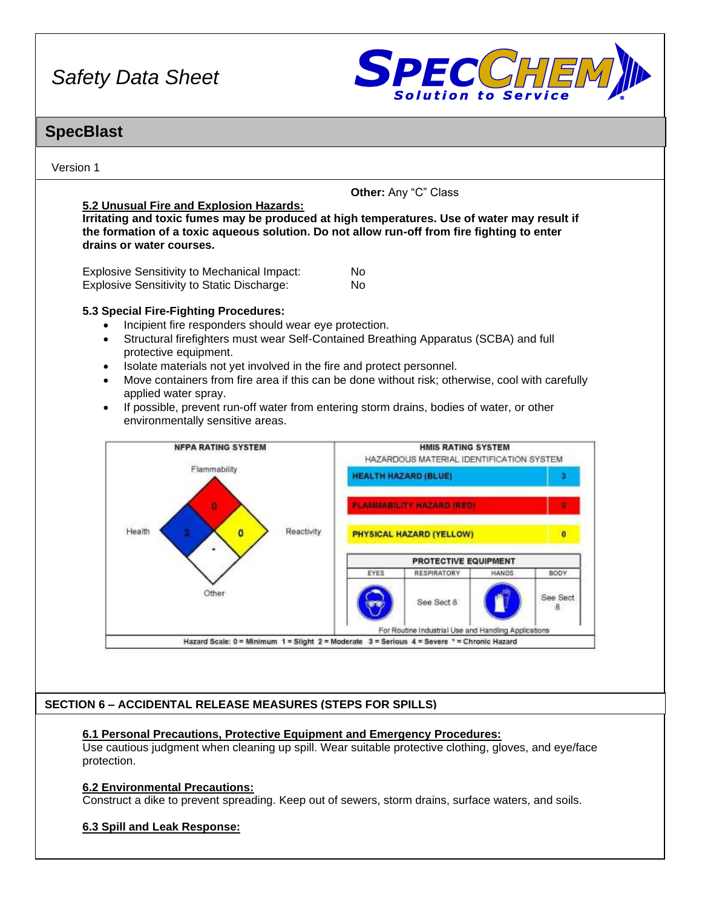

## **SpecBlast**

Version 1

#### **5.2 Unusual Fire and Explosion Hazards:**

**Other:** Any "C" Class

**Irritating and toxic fumes may be produced at high temperatures. Use of water may result if the formation of a toxic aqueous solution. Do not allow run-off from fire fighting to enter drains or water courses.**

| <b>Explosive Sensitivity to Mechanical Impact:</b> | No. |
|----------------------------------------------------|-----|
| <b>Explosive Sensitivity to Static Discharge:</b>  | No. |

#### **5.3 Special Fire-Fighting Procedures:**

- Incipient fire responders should wear eye protection.
- Structural firefighters must wear Self-Contained Breathing Apparatus (SCBA) and full protective equipment.
- Isolate materials not yet involved in the fire and protect personnel.
- Move containers from fire area if this can be done without risk; otherwise, cool with carefully applied water spray.
- If possible, prevent run-off water from entering storm drains, bodies of water, or other environmentally sensitive areas.



#### **SECTION 6 – ACCIDENTAL RELEASE MEASURES (STEPS FOR SPILLS)**

#### **6.1 Personal Precautions, Protective Equipment and Emergency Procedures:**

Use cautious judgment when cleaning up spill. Wear suitable protective clothing, gloves, and eye/face protection.

#### **6.2 Environmental Precautions:**

Construct a dike to prevent spreading. Keep out of sewers, storm drains, surface waters, and soils.

#### **6.3 Spill and Leak Response:**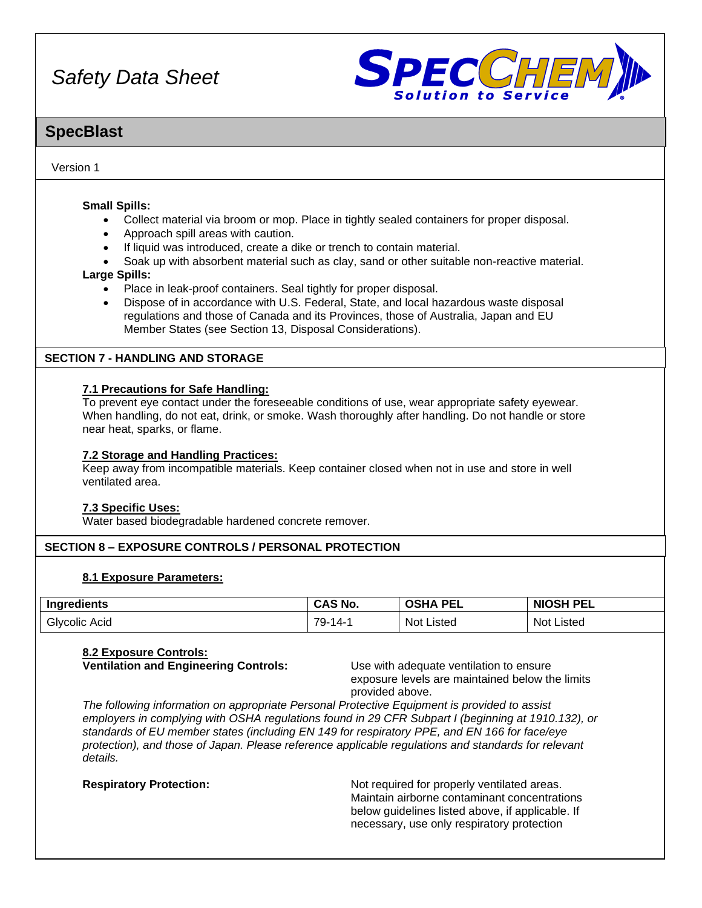

### **SpecBlast**

#### Version 1

#### **Small Spills:**

- Collect material via broom or mop. Place in tightly sealed containers for proper disposal.
- Approach spill areas with caution.
- If liquid was introduced, create a dike or trench to contain material.
- Soak up with absorbent material such as clay, sand or other suitable non-reactive material.

#### **Large Spills:**

- Place in leak-proof containers. Seal tightly for proper disposal.
- Dispose of in accordance with U.S. Federal, State, and local hazardous waste disposal regulations and those of Canada and its Provinces, those of Australia, Japan and EU Member States (see Section 13, Disposal Considerations).

#### **SECTION 7 - HANDLING AND STORAGE**

#### **7.1 Precautions for Safe Handling:**

To prevent eye contact under the foreseeable conditions of use, wear appropriate safety eyewear. When handling, do not eat, drink, or smoke. Wash thoroughly after handling. Do not handle or store near heat, sparks, or flame.

#### **7.2 Storage and Handling Practices:**

Keep away from incompatible materials. Keep container closed when not in use and store in well ventilated area.

#### **7.3 Specific Uses:**

Water based biodegradable hardened concrete remover.

#### **SECTION 8 – EXPOSURE CONTROLS / PERSONAL PROTECTION**

#### **8.1 Exposure Parameters:**

| Ingredients      | `4S No.<br>unu | <b>PEL</b>        | <b>NIOSH PEL</b> |
|------------------|----------------|-------------------|------------------|
| Glvcolic<br>Acid | 79-<br>4.      | <b>Not Listed</b> | Not '<br>Listed  |

#### **8.2 Exposure Controls:**

**Ventilation and Engineering Controls:** Use with adequate ventilation to ensure

exposure levels are maintained below the limits provided above.

*The following information on appropriate Personal Protective Equipment is provided to assist employers in complying with OSHA regulations found in 29 CFR Subpart I (beginning at 1910.132), or standards of EU member states (including EN 149 for respiratory PPE, and EN 166 for face/eye protection), and those of Japan. Please reference applicable regulations and standards for relevant details.*

**Respiratory Protection:** Not required for properly ventilated areas. Maintain airborne contaminant concentrations below guidelines listed above, if applicable. If necessary, use only respiratory protection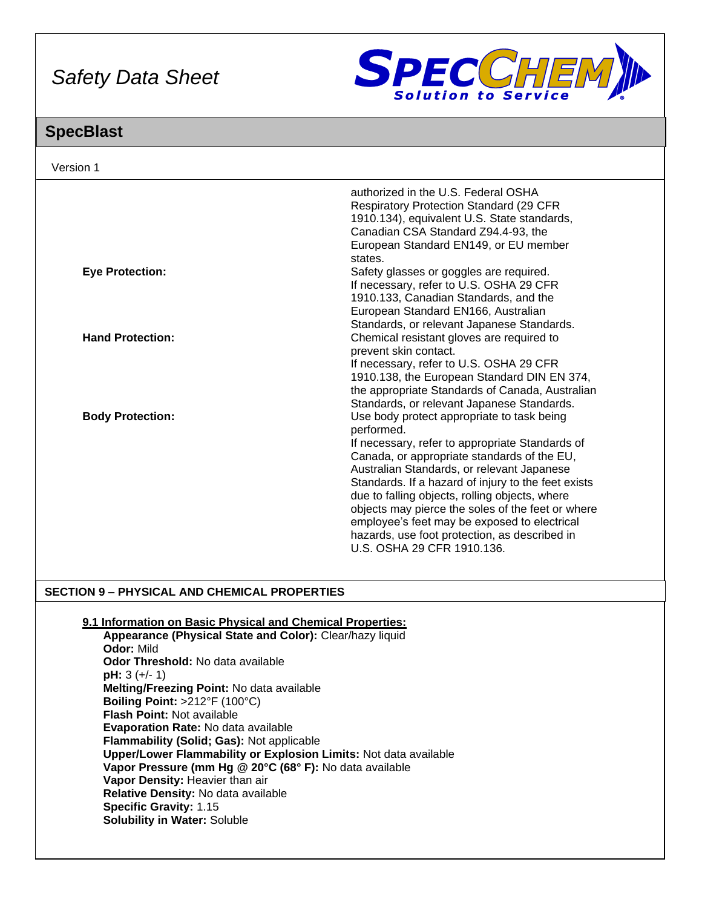

## **SpecBlast**

| Version 1               |                                                                                                                                                                                                                                                                                                                                                                                                                                                                                                       |
|-------------------------|-------------------------------------------------------------------------------------------------------------------------------------------------------------------------------------------------------------------------------------------------------------------------------------------------------------------------------------------------------------------------------------------------------------------------------------------------------------------------------------------------------|
|                         | authorized in the U.S. Federal OSHA<br><b>Respiratory Protection Standard (29 CFR)</b><br>1910.134), equivalent U.S. State standards,<br>Canadian CSA Standard Z94.4-93, the<br>European Standard EN149, or EU member                                                                                                                                                                                                                                                                                 |
| <b>Eye Protection:</b>  | states.<br>Safety glasses or goggles are required.<br>If necessary, refer to U.S. OSHA 29 CFR<br>1910.133, Canadian Standards, and the<br>European Standard EN166, Australian<br>Standards, or relevant Japanese Standards.                                                                                                                                                                                                                                                                           |
| <b>Hand Protection:</b> | Chemical resistant gloves are required to<br>prevent skin contact.<br>If necessary, refer to U.S. OSHA 29 CFR<br>1910.138, the European Standard DIN EN 374,<br>the appropriate Standards of Canada, Australian<br>Standards, or relevant Japanese Standards.                                                                                                                                                                                                                                         |
| <b>Body Protection:</b> | Use body protect appropriate to task being<br>performed.<br>If necessary, refer to appropriate Standards of<br>Canada, or appropriate standards of the EU,<br>Australian Standards, or relevant Japanese<br>Standards. If a hazard of injury to the feet exists<br>due to falling objects, rolling objects, where<br>objects may pierce the soles of the feet or where<br>employee's feet may be exposed to electrical<br>hazards, use foot protection, as described in<br>U.S. OSHA 29 CFR 1910.136. |

#### **SECTION 9 – PHYSICAL AND CHEMICAL PROPERTIES**

#### **9.1 Information on Basic Physical and Chemical Properties:**

**Appearance (Physical State and Color):** Clear/hazy liquid **Odor:** Mild **Odor Threshold:** No data available **pH:** 3 (+/- 1) **Melting/Freezing Point:** No data available **Boiling Point:** >212°F (100°C) **Flash Point:** Not available **Evaporation Rate:** No data available **Flammability (Solid; Gas):** Not applicable **Upper/Lower Flammability or Explosion Limits:** Not data available **Vapor Pressure (mm Hg @ 20°C (68° F):** No data available **Vapor Density:** Heavier than air **Relative Density:** No data available **Specific Gravity:** 1.15 **Solubility in Water:** Soluble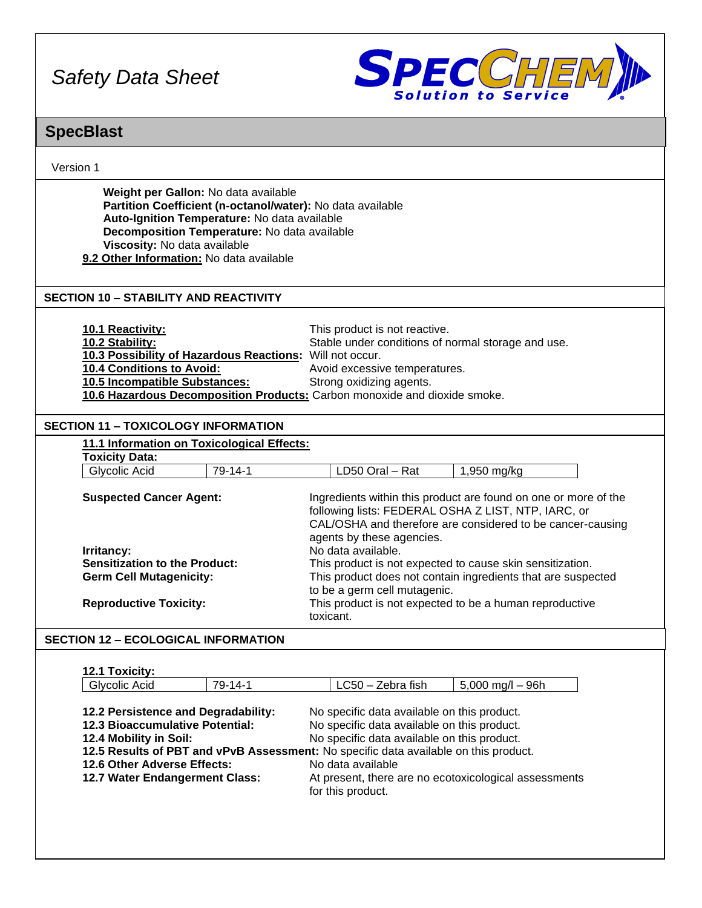

### **SpecBlast**

| <b>SpecBlast</b>                                                                                                                                                                                                                                                               |                                                                                                                                                                                                                                                                                                                                                                                                                                                                              |  |
|--------------------------------------------------------------------------------------------------------------------------------------------------------------------------------------------------------------------------------------------------------------------------------|------------------------------------------------------------------------------------------------------------------------------------------------------------------------------------------------------------------------------------------------------------------------------------------------------------------------------------------------------------------------------------------------------------------------------------------------------------------------------|--|
| Version 1                                                                                                                                                                                                                                                                      |                                                                                                                                                                                                                                                                                                                                                                                                                                                                              |  |
| Weight per Gallon: No data available<br>Partition Coefficient (n-octanol/water): No data available<br>Auto-Ignition Temperature: No data available<br>Decomposition Temperature: No data available<br>Viscosity: No data available<br>9.2 Other Information: No data available |                                                                                                                                                                                                                                                                                                                                                                                                                                                                              |  |
| <b>SECTION 10 - STABILITY AND REACTIVITY</b>                                                                                                                                                                                                                                   |                                                                                                                                                                                                                                                                                                                                                                                                                                                                              |  |
| 10.1 Reactivity:<br>10.2 Stability:<br>10.3 Possibility of Hazardous Reactions: Will not occur.<br>10.4 Conditions to Avoid:<br>10.5 Incompatible Substances:<br>10.6 Hazardous Decomposition Products: Carbon monoxide and dioxide smoke.                                     | This product is not reactive.<br>Stable under conditions of normal storage and use.<br>Avoid excessive temperatures.<br>Strong oxidizing agents.                                                                                                                                                                                                                                                                                                                             |  |
| <b>SECTION 11 - TOXICOLOGY INFORMATION</b>                                                                                                                                                                                                                                     |                                                                                                                                                                                                                                                                                                                                                                                                                                                                              |  |
| 11.1 Information on Toxicological Effects:<br><b>Toxicity Data:</b>                                                                                                                                                                                                            |                                                                                                                                                                                                                                                                                                                                                                                                                                                                              |  |
| Glycolic Acid<br>79-14-1                                                                                                                                                                                                                                                       | LD50 Oral - Rat<br>1,950 mg/kg                                                                                                                                                                                                                                                                                                                                                                                                                                               |  |
| <b>Suspected Cancer Agent:</b><br>Irritancy:<br><b>Sensitization to the Product:</b><br><b>Germ Cell Mutagenicity:</b><br><b>Reproductive Toxicity:</b>                                                                                                                        | Ingredients within this product are found on one or more of the<br>following lists: FEDERAL OSHA Z LIST, NTP, IARC, or<br>CAL/OSHA and therefore are considered to be cancer-causing<br>agents by these agencies.<br>No data available.<br>This product is not expected to cause skin sensitization.<br>This product does not contain ingredients that are suspected<br>to be a germ cell mutagenic.<br>This product is not expected to be a human reproductive<br>toxicant. |  |
| <b>SECTION 12 – ECOLOGICAL INFORMATION</b>                                                                                                                                                                                                                                     |                                                                                                                                                                                                                                                                                                                                                                                                                                                                              |  |
| 12.1 Toxicity:<br>79-14-1<br><b>Glycolic Acid</b>                                                                                                                                                                                                                              | $LC50 - Zebra fish$<br>$5,000$ mg/l $-96h$                                                                                                                                                                                                                                                                                                                                                                                                                                   |  |
| 12.2 Persistence and Degradability:<br><b>12.3 Bioaccumulative Potential:</b><br>12.4 Mobility in Soil:<br>12.6 Other Adverse Effects:<br>12.7 Water Endangerment Class:                                                                                                       | No specific data available on this product.<br>No specific data available on this product.<br>No specific data available on this product.<br>12.5 Results of PBT and vPvB Assessment: No specific data available on this product.<br>No data available<br>At present, there are no ecotoxicological assessments<br>for this product.                                                                                                                                         |  |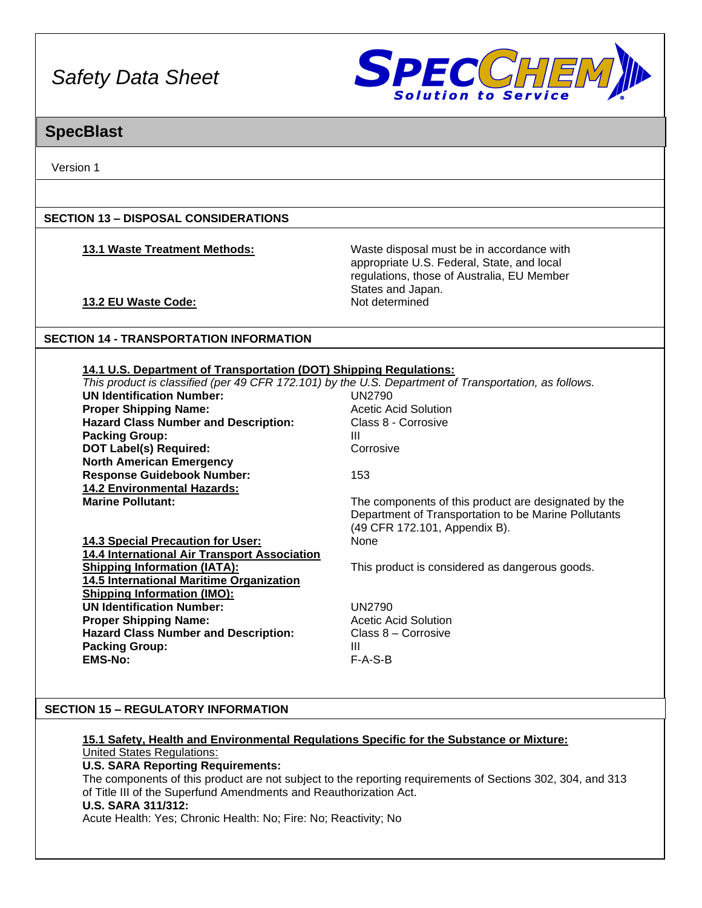

### **SpecBlast**

Version 1

#### **SECTION 13 – DISPOSAL CONSIDERATIONS**

**13.1 Waste Treatment Methods:** Waste disposal must be in accordance with appropriate U.S. Federal, State, and local regulations, those of Australia, EU Member States and Japan.<br>Not determined

#### **13.2 EU Waste Code:**

#### **SECTION 14 - TRANSPORTATION INFORMATION**

#### **14.1 U.S. Department of Transportation (DOT) Shipping Regulations:**

| This product is classified (per 49 CFR 172.101) by the U.S. Department of Transportation, as follows. |                                                                                                                                               |
|-------------------------------------------------------------------------------------------------------|-----------------------------------------------------------------------------------------------------------------------------------------------|
| <b>UN Identification Number:</b>                                                                      | <b>UN2790</b>                                                                                                                                 |
| <b>Proper Shipping Name:</b>                                                                          | <b>Acetic Acid Solution</b>                                                                                                                   |
| <b>Hazard Class Number and Description:</b>                                                           | Class 8 - Corrosive                                                                                                                           |
| <b>Packing Group:</b>                                                                                 | Ш                                                                                                                                             |
| <b>DOT Label(s) Required:</b>                                                                         | Corrosive                                                                                                                                     |
| <b>North American Emergency</b>                                                                       |                                                                                                                                               |
| <b>Response Guidebook Number:</b>                                                                     | 153                                                                                                                                           |
| <b>14.2 Environmental Hazards:</b>                                                                    |                                                                                                                                               |
| <b>Marine Pollutant:</b>                                                                              | The components of this product are designated by the<br>Department of Transportation to be Marine Pollutants<br>(49 CFR 172.101, Appendix B). |
| 14.3 Special Precaution for User:                                                                     | None                                                                                                                                          |
| 14.4 International Air Transport Association                                                          |                                                                                                                                               |
| <b>Shipping Information (IATA):</b>                                                                   | This product is considered as dangerous goods.                                                                                                |
| 14.5 International Maritime Organization                                                              |                                                                                                                                               |
| <b>Shipping Information (IMO):</b>                                                                    |                                                                                                                                               |
| <b>UN Identification Number:</b>                                                                      | <b>UN2790</b>                                                                                                                                 |
| <b>Proper Shipping Name:</b>                                                                          | Acetic Acid Solution                                                                                                                          |
| <b>Hazard Class Number and Description:</b>                                                           | Class 8 – Corrosive                                                                                                                           |
| <b>Packing Group:</b>                                                                                 | Ш                                                                                                                                             |
| <b>EMS-No:</b>                                                                                        | $F-A-S-B$                                                                                                                                     |

#### **SECTION 15 – REGULATORY INFORMATION**

#### **15.1 Safety, Health and Environmental Regulations Specific for the Substance or Mixture:** United States Regulations:

#### **U.S. SARA Reporting Requirements:**

The components of this product are not subject to the reporting requirements of Sections 302, 304, and 313 of Title III of the Superfund Amendments and Reauthorization Act.

#### **U.S. SARA 311/312:**

Acute Health: Yes; Chronic Health: No; Fire: No; Reactivity; No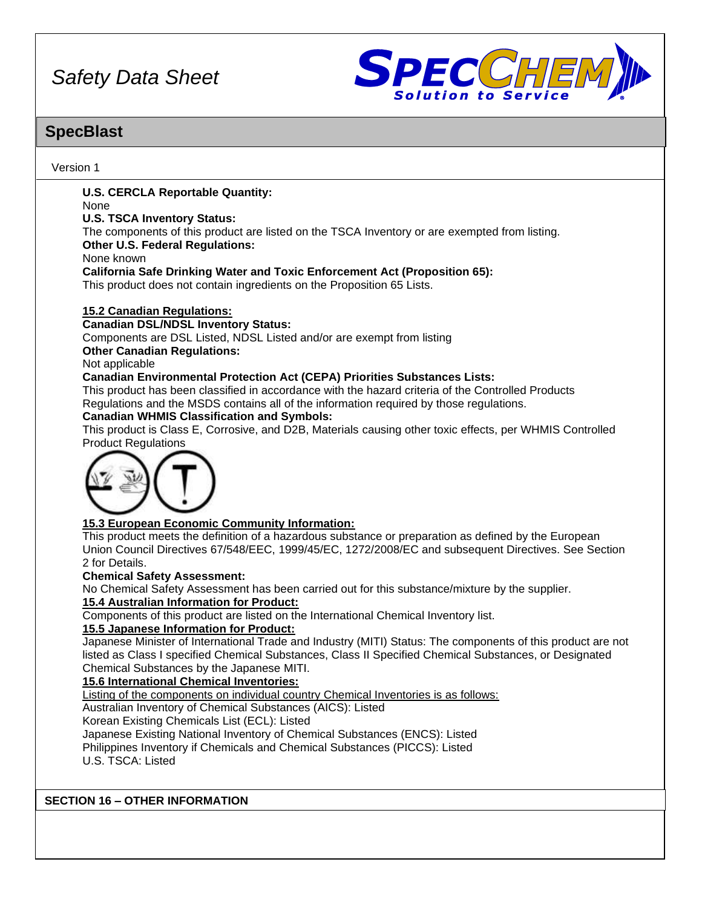

## **SpecBlast**

Version 1

#### **U.S. CERCLA Reportable Quantity:**

None

#### **U.S. TSCA Inventory Status:**

The components of this product are listed on the TSCA Inventory or are exempted from listing.

#### **Other U.S. Federal Regulations:**

None known

**California Safe Drinking Water and Toxic Enforcement Act (Proposition 65):**

This product does not contain ingredients on the Proposition 65 Lists.

#### **15.2 Canadian Regulations:**

#### **Canadian DSL/NDSL Inventory Status:**

Components are DSL Listed, NDSL Listed and/or are exempt from listing

**Other Canadian Regulations:**

Not applicable

#### **Canadian Environmental Protection Act (CEPA) Priorities Substances Lists:**

This product has been classified in accordance with the hazard criteria of the Controlled Products Regulations and the MSDS contains all of the information required by those regulations.

#### **Canadian WHMIS Classification and Symbols:**

This product is Class E, Corrosive, and D2B, Materials causing other toxic effects, per WHMIS Controlled Product Regulations



#### **15.3 European Economic Community Information:**

This product meets the definition of a hazardous substance or preparation as defined by the European Union Council Directives 67/548/EEC, 1999/45/EC, 1272/2008/EC and subsequent Directives. See Section 2 for Details.

#### **Chemical Safety Assessment:**

No Chemical Safety Assessment has been carried out for this substance/mixture by the supplier.

#### **15.4 Australian Information for Product:**

Components of this product are listed on the International Chemical Inventory list.

#### **15.5 Japanese Information for Product:**

Japanese Minister of International Trade and Industry (MITI) Status: The components of this product are not listed as Class I specified Chemical Substances, Class II Specified Chemical Substances, or Designated Chemical Substances by the Japanese MITI.

**15.6 International Chemical Inventories:**

Listing of the components on individual country Chemical Inventories is as follows:

Australian Inventory of Chemical Substances (AICS): Listed

Korean Existing Chemicals List (ECL): Listed

Japanese Existing National Inventory of Chemical Substances (ENCS): Listed

Philippines Inventory if Chemicals and Chemical Substances (PICCS): Listed

U.S. TSCA: Listed

**SECTION 16 – OTHER INFORMATION**